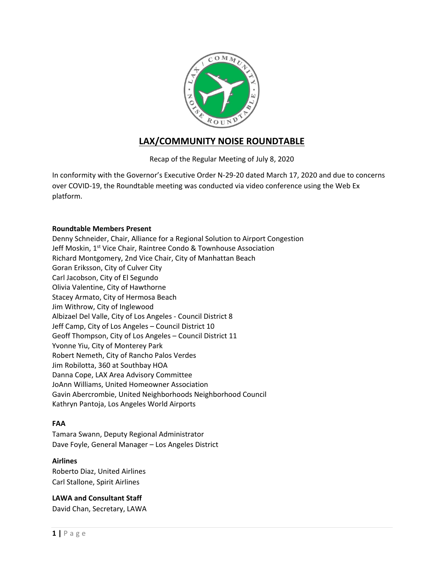

# **LAX/COMMUNITY NOISE ROUNDTABLE**

Recap of the Regular Meeting of July 8, 2020

In conformity with the Governor's Executive Order N-29-20 dated March 17, 2020 and due to concerns over COVID-19, the Roundtable meeting was conducted via video conference using the Web Ex platform.

### **Roundtable Members Present**

Denny Schneider, Chair, Alliance for a Regional Solution to Airport Congestion Jeff Moskin, 1<sup>st</sup> Vice Chair, Raintree Condo & Townhouse Association Richard Montgomery, 2nd Vice Chair, City of Manhattan Beach Goran Eriksson, City of Culver City Carl Jacobson, City of El Segundo Olivia Valentine, City of Hawthorne Stacey Armato, City of Hermosa Beach Jim Withrow, City of Inglewood Albizael Del Valle, City of Los Angeles - Council District 8 Jeff Camp, City of Los Angeles – Council District 10 Geoff Thompson, City of Los Angeles – Council District 11 Yvonne Yiu, City of Monterey Park Robert Nemeth, City of Rancho Palos Verdes Jim Robilotta, 360 at Southbay HOA Danna Cope, LAX Area Advisory Committee JoAnn Williams, United Homeowner Association Gavin Abercrombie, United Neighborhoods Neighborhood Council Kathryn Pantoja, Los Angeles World Airports

### **FAA**

Tamara Swann, Deputy Regional Administrator Dave Foyle, General Manager – Los Angeles District

### **Airlines**

Roberto Diaz, United Airlines Carl Stallone, Spirit Airlines

### **LAWA and Consultant Staff**

David Chan, Secretary, LAWA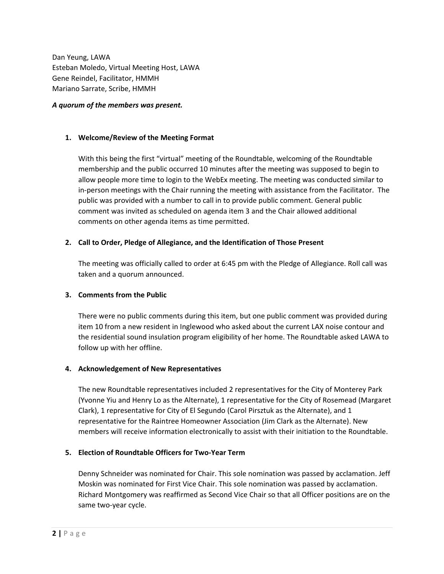Dan Yeung, LAWA Esteban Moledo, Virtual Meeting Host, LAWA Gene Reindel, Facilitator, HMMH Mariano Sarrate, Scribe, HMMH

#### *A quorum of the members was present.*

### **1. Welcome/Review of the Meeting Format**

With this being the first "virtual" meeting of the Roundtable, welcoming of the Roundtable membership and the public occurred 10 minutes after the meeting was supposed to begin to allow people more time to login to the WebEx meeting. The meeting was conducted similar to in-person meetings with the Chair running the meeting with assistance from the Facilitator. The public was provided with a number to call in to provide public comment. General public comment was invited as scheduled on agenda item 3 and the Chair allowed additional comments on other agenda items as time permitted.

### **2. Call to Order, Pledge of Allegiance, and the Identification of Those Present**

The meeting was officially called to order at 6:45 pm with the Pledge of Allegiance. Roll call was taken and a quorum announced.

### **3. Comments from the Public**

There were no public comments during this item, but one public comment was provided during item 10 from a new resident in Inglewood who asked about the current LAX noise contour and the residential sound insulation program eligibility of her home. The Roundtable asked LAWA to follow up with her offline.

### **4. Acknowledgement of New Representatives**

The new Roundtable representatives included 2 representatives for the City of Monterey Park (Yvonne Yiu and Henry Lo as the Alternate), 1 representative for the City of Rosemead (Margaret Clark), 1 representative for City of El Segundo (Carol Pirsztuk as the Alternate), and 1 representative for the Raintree Homeowner Association (Jim Clark as the Alternate). New members will receive information electronically to assist with their initiation to the Roundtable.

### **5. Election of Roundtable Officers for Two-Year Term**

Denny Schneider was nominated for Chair. This sole nomination was passed by acclamation. Jeff Moskin was nominated for First Vice Chair. This sole nomination was passed by acclamation. Richard Montgomery was reaffirmed as Second Vice Chair so that all Officer positions are on the same two-year cycle.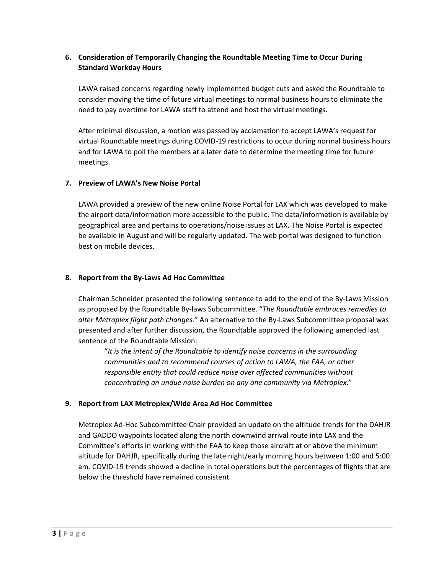### **6. Consideration of Temporarily Changing the Roundtable Meeting Time to Occur During Standard Workday Hours**

LAWA raised concerns regarding newly implemented budget cuts and asked the Roundtable to consider moving the time of future virtual meetings to normal business hours to eliminate the need to pay overtime for LAWA staff to attend and host the virtual meetings.

After minimal discussion, a motion was passed by acclamation to accept LAWA's request for virtual Roundtable meetings during COVID-19 restrictions to occur during normal business hours and for LAWA to poll the members at a later date to determine the meeting time for future meetings.

### **7. Preview of LAWA's New Noise Portal**

LAWA provided a preview of the new online Noise Portal for LAX which was developed to make the airport data/information more accessible to the public. The data/information is available by geographical area and pertains to operations/noise issues at LAX. The Noise Portal is expected be available in August and will be regularly updated. The web portal was designed to function best on mobile devices.

### **8. Report from the By-Laws Ad Hoc Committee**

Chairman Schneider presented the following sentence to add to the end of the By-Laws Mission as proposed by the Roundtable By-laws Subcommittee. "*The Roundtable embraces remedies to alter Metroplex flight path changes*." An alternative to the By-Laws Subcommittee proposal was presented and after further discussion, the Roundtable approved the following amended last sentence of the Roundtable Mission:

"*It is the intent of the Roundtable to identify noise concerns in the surrounding communities and to recommend courses of action to LAWA, the FAA, or other responsible entity that could reduce noise over affected communities without concentrating an undue noise burden on any one community via Metroplex*."

### **9. Report from LAX Metroplex/Wide Area Ad Hoc Committee**

Metroplex Ad-Hoc Subcommittee Chair provided an update on the altitude trends for the DAHJR and GADDO waypoints located along the north downwind arrival route into LAX and the Committee's efforts in working with the FAA to keep those aircraft at or above the minimum altitude for DAHJR, specifically during the late night/early morning hours between 1:00 and 5:00 am. COVID-19 trends showed a decline in total operations but the percentages of flights that are below the threshold have remained consistent.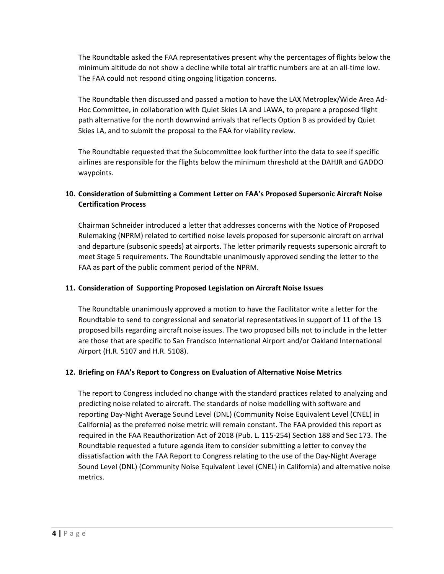The Roundtable asked the FAA representatives present why the percentages of flights below the minimum altitude do not show a decline while total air traffic numbers are at an all-time low. The FAA could not respond citing ongoing litigation concerns.

The Roundtable then discussed and passed a motion to have the LAX Metroplex/Wide Area Ad-Hoc Committee, in collaboration with Quiet Skies LA and LAWA, to prepare a proposed flight path alternative for the north downwind arrivals that reflects Option B as provided by Quiet Skies LA, and to submit the proposal to the FAA for viability review.

The Roundtable requested that the Subcommittee look further into the data to see if specific airlines are responsible for the flights below the minimum threshold at the DAHJR and GADDO waypoints.

# **10. Consideration of Submitting a Comment Letter on FAA's Proposed Supersonic Aircraft Noise Certification Process**

Chairman Schneider introduced a letter that addresses concerns with the Notice of Proposed Rulemaking (NPRM) related to certified noise levels proposed for supersonic aircraft on arrival and departure (subsonic speeds) at airports. The letter primarily requests supersonic aircraft to meet Stage 5 requirements. The Roundtable unanimously approved sending the letter to the FAA as part of the public comment period of the NPRM.

### **11. Consideration of Supporting Proposed Legislation on Aircraft Noise Issues**

The Roundtable unanimously approved a motion to have the Facilitator write a letter for the Roundtable to send to congressional and senatorial representatives in support of 11 of the 13 proposed bills regarding aircraft noise issues. The two proposed bills not to include in the letter are those that are specific to San Francisco International Airport and/or Oakland International Airport (H.R. 5107 and H.R. 5108).

# **12. Briefing on FAA's Report to Congress on Evaluation of Alternative Noise Metrics**

The report to Congress included no change with the standard practices related to analyzing and predicting noise related to aircraft. The standards of noise modelling with software and reporting Day-Night Average Sound Level (DNL) (Community Noise Equivalent Level (CNEL) in California) as the preferred noise metric will remain constant. The FAA provided this report as required in the FAA Reauthorization Act of 2018 (Pub. L. 115-254) Section 188 and Sec 173. The Roundtable requested a future agenda item to consider submitting a letter to convey the dissatisfaction with the FAA Report to Congress relating to the use of the Day-Night Average Sound Level (DNL) (Community Noise Equivalent Level (CNEL) in California) and alternative noise metrics.